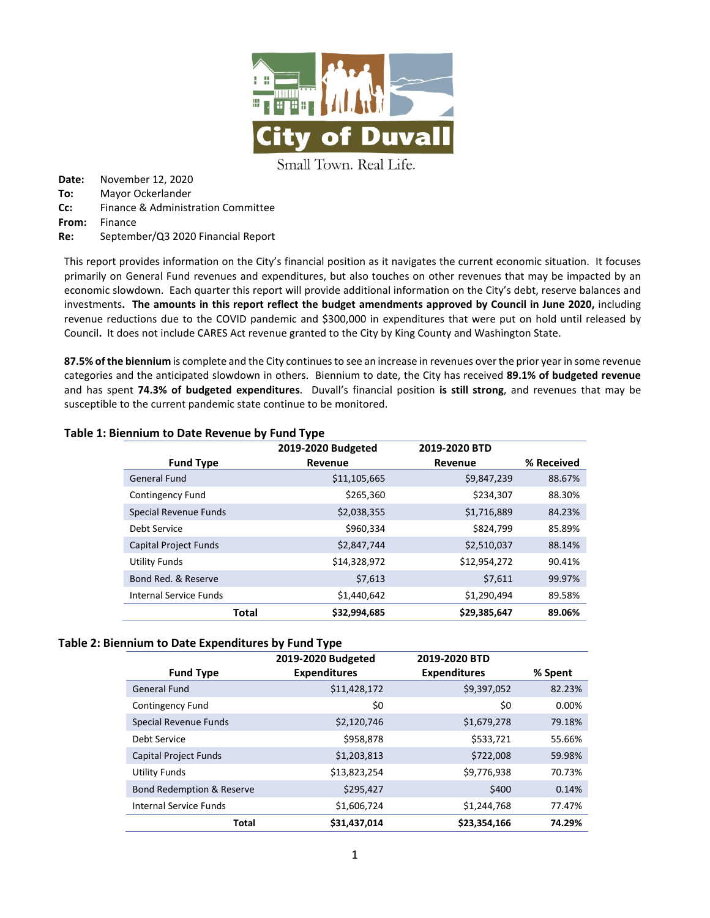

Small Town. Real Life.

**Date:** November 12, 2020 **To:** Mayor Ockerlander **Cc:** Finance & Administration Committee **From:** Finance **Re:** September/Q3 2020 Financial Report

This report provides information on the City's financial position as it navigates the current economic situation. It focuses primarily on General Fund revenues and expenditures, but also touches on other revenues that may be impacted by an economic slowdown. Each quarter this report will provide additional information on the City's debt, reserve balances and investments**. The amounts in this report reflect the budget amendments approved by Council in June 2020,** including revenue reductions due to the COVID pandemic and \$300,000 in expenditures that were put on hold until released by Council**.** It does not include CARES Act revenue granted to the City by King County and Washington State.

**87.5% of the biennium** is complete and the City continues to see an increase in revenues over the prior year in some revenue categories and the anticipated slowdown in others. Biennium to date, the City has received **89.1% of budgeted revenue** and has spent **74.3% of budgeted expenditures**. Duvall's financial position **is still strong**, and revenues that may be susceptible to the current pandemic state continue to be monitored.

|                              | 2019-2020 Budgeted | 2019-2020 BTD |            |
|------------------------------|--------------------|---------------|------------|
| <b>Fund Type</b>             | Revenue            | Revenue       | % Received |
| <b>General Fund</b>          | \$11,105,665       | \$9,847,239   | 88.67%     |
| Contingency Fund             | \$265,360          | \$234,307     | 88.30%     |
| Special Revenue Funds        | \$2,038,355        | \$1,716,889   | 84.23%     |
| Debt Service                 | \$960,334          | \$824,799     | 85.89%     |
| <b>Capital Project Funds</b> | \$2,847,744        | \$2,510,037   | 88.14%     |
| <b>Utility Funds</b>         | \$14,328,972       | \$12,954,272  | 90.41%     |
| Bond Red. & Reserve          | \$7,613            | \$7,611       | 99.97%     |
| Internal Service Funds       | \$1,440,642        | \$1,290,494   | 89.58%     |
| <b>Total</b>                 | \$32,994,685       | \$29,385,647  | 89.06%     |

### **Table 1: Biennium to Date Revenue by Fund Type**

### **Table 2: Biennium to Date Expenditures by Fund Type**

|                                      | 2019-2020 Budgeted  | 2019-2020 BTD       |         |
|--------------------------------------|---------------------|---------------------|---------|
| <b>Fund Type</b>                     | <b>Expenditures</b> | <b>Expenditures</b> | % Spent |
| <b>General Fund</b>                  | \$11,428,172        | \$9,397,052         | 82.23%  |
| Contingency Fund                     | \$0                 | \$0                 | 0.00%   |
| <b>Special Revenue Funds</b>         | \$2,120,746         | \$1,679,278         | 79.18%  |
| Debt Service                         | \$958,878           | \$533,721           | 55.66%  |
| <b>Capital Project Funds</b>         | \$1,203,813         | \$722,008           | 59.98%  |
| <b>Utility Funds</b>                 | \$13,823,254        | \$9,776,938         | 70.73%  |
| <b>Bond Redemption &amp; Reserve</b> | \$295,427           | \$400               | 0.14%   |
| <b>Internal Service Funds</b>        | \$1,606,724         | \$1,244,768         | 77.47%  |
| <b>Total</b>                         | \$31,437,014        | \$23,354,166        | 74.29%  |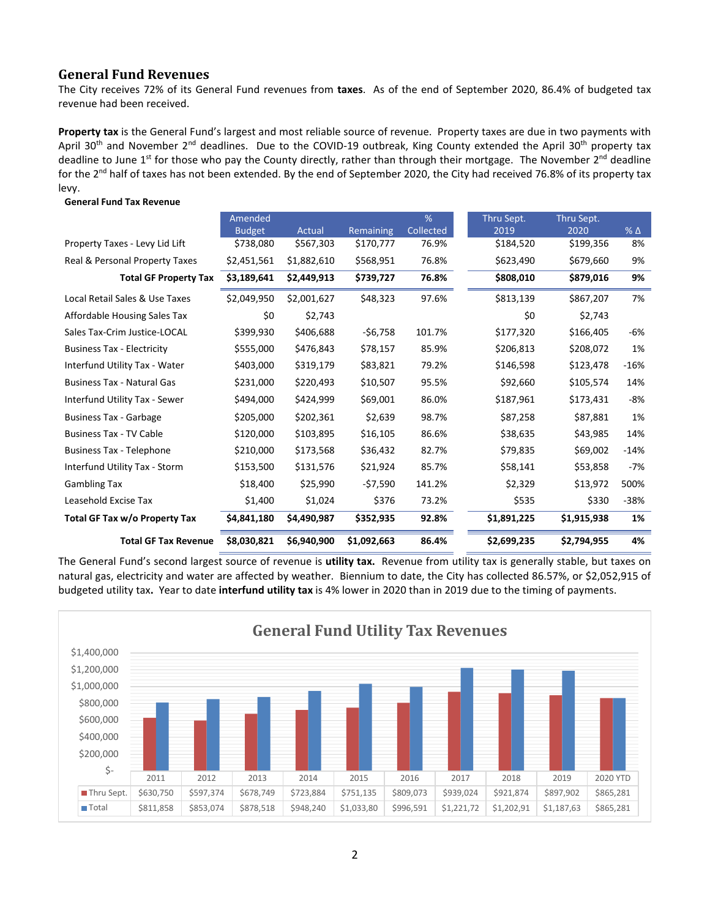## **General Fund Revenues**

**General Fund Tax Revenue**

The City receives 72% of its General Fund revenues from **taxes**. As of the end of September 2020, 86.4% of budgeted tax revenue had been received.

**Property tax** is the General Fund's largest and most reliable source of revenue. Property taxes are due in two payments with April 30<sup>th</sup> and November 2<sup>nd</sup> deadlines. Due to the COVID-19 outbreak, King County extended the April 30<sup>th</sup> property tax deadline to June  $1<sup>st</sup>$  for those who pay the County directly, rather than through their mortgage. The November  $2<sup>nd</sup>$  deadline for the 2<sup>nd</sup> half of taxes has not been extended. By the end of September 2020, the City had received 76.8% of its property tax levy.

|                                   | Amended       |             |             | %         | Thru Sept.  | Thru Sept.  |              |
|-----------------------------------|---------------|-------------|-------------|-----------|-------------|-------------|--------------|
|                                   | <b>Budget</b> | Actual      | Remaining   | Collected | 2019        | 2020        | $%$ $\Delta$ |
| Property Taxes - Levy Lid Lift    | \$738,080     | \$567,303   | \$170,777   | 76.9%     | \$184,520   | \$199,356   | 8%           |
| Real & Personal Property Taxes    | \$2,451,561   | \$1,882,610 | \$568,951   | 76.8%     | \$623,490   | \$679,660   | 9%           |
| <b>Total GF Property Tax</b>      | \$3,189,641   | \$2,449,913 | \$739,727   | 76.8%     | \$808,010   | \$879,016   | 9%           |
| Local Retail Sales & Use Taxes    | \$2,049,950   | \$2,001,627 | \$48,323    | 97.6%     | \$813,139   | \$867,207   | 7%           |
| Affordable Housing Sales Tax      | \$0           | \$2,743     |             |           | \$0         | \$2,743     |              |
| Sales Tax-Crim Justice-LOCAL      | \$399,930     | \$406,688   | $-$6,758$   | 101.7%    | \$177,320   | \$166,405   | -6%          |
| <b>Business Tax - Electricity</b> | \$555,000     | \$476,843   | \$78,157    | 85.9%     | \$206,813   | \$208,072   | 1%           |
| Interfund Utility Tax - Water     | \$403,000     | \$319,179   | \$83,821    | 79.2%     | \$146,598   | \$123,478   | $-16%$       |
| <b>Business Tax - Natural Gas</b> | \$231,000     | \$220,493   | \$10,507    | 95.5%     | \$92,660    | \$105,574   | 14%          |
| Interfund Utility Tax - Sewer     | \$494,000     | \$424,999   | \$69,001    | 86.0%     | \$187,961   | \$173,431   | -8%          |
| <b>Business Tax - Garbage</b>     | \$205,000     | \$202,361   | \$2,639     | 98.7%     | \$87,258    | \$87,881    | 1%           |
| <b>Business Tax - TV Cable</b>    | \$120,000     | \$103,895   | \$16,105    | 86.6%     | \$38,635    | \$43,985    | 14%          |
| <b>Business Tax - Telephone</b>   | \$210,000     | \$173,568   | \$36,432    | 82.7%     | \$79,835    | \$69,002    | $-14%$       |
| Interfund Utility Tax - Storm     | \$153,500     | \$131,576   | \$21,924    | 85.7%     | \$58,141    | \$53,858    | $-7%$        |
| <b>Gambling Tax</b>               | \$18,400      | \$25,990    | -\$7,590    | 141.2%    | \$2,329     | \$13,972    | 500%         |
| Leasehold Excise Tax              | \$1,400       | \$1,024     | \$376       | 73.2%     | \$535       | \$330       | -38%         |
| Total GF Tax w/o Property Tax     | \$4,841,180   | \$4,490,987 | \$352,935   | 92.8%     | \$1,891,225 | \$1,915,938 | 1%           |
| <b>Total GF Tax Revenue</b>       | \$8,030,821   | \$6,940,900 | \$1,092,663 | 86.4%     | \$2,699,235 | \$2,794,955 | 4%           |

The General Fund's second largest source of revenue is **utility tax.** Revenue from utility tax is generally stable, but taxes on natural gas, electricity and water are affected by weather. Biennium to date, the City has collected 86.57%, or \$2,052,915 of budgeted utility tax**.** Year to date **interfund utility tax** is 4% lower in 2020 than in 2019 due to the timing of payments.

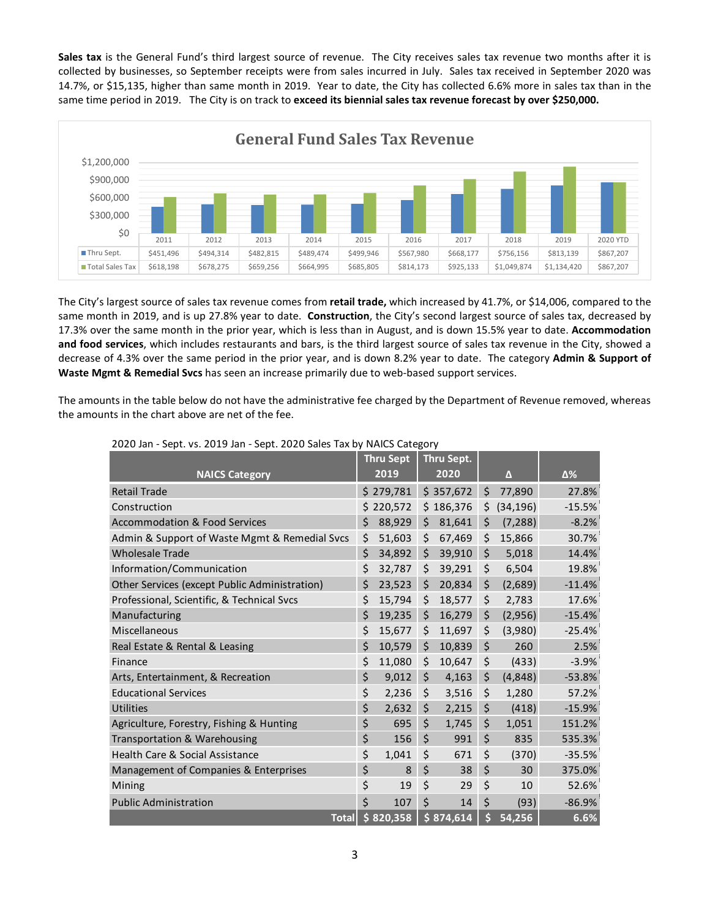**Sales tax** is the General Fund's third largest source of revenue. The City receives sales tax revenue two months after it is collected by businesses, so September receipts were from sales incurred in July. Sales tax received in September 2020 was 14.7%, or \$15,135, higher than same month in 2019. Year to date, the City has collected 6.6% more in sales tax than in the same time period in 2019. The City is on track to **exceed its biennial sales tax revenue forecast by over \$250,000.**



The City's largest source of sales tax revenue comes from **retail trade,** which increased by 41.7%, or \$14,006, compared to the same month in 2019, and is up 27.8% year to date. **Construction**, the City's second largest source of sales tax, decreased by 17.3% over the same month in the prior year, which is less than in August, and is down 15.5% year to date. **Accommodation and food services**, which includes restaurants and bars, is the third largest source of sales tax revenue in the City, showed a decrease of 4.3% over the same period in the prior year, and is down 8.2% year to date. The category **Admin & Support of Waste Mgmt & Remedial Svcs** has seen an increase primarily due to web-based support services.

The amounts in the table below do not have the administrative fee charged by the Department of Revenue removed, whereas the amounts in the chart above are net of the fee.

|                                               | <b>Thru Sept</b> | Thru Sept.   |                 |          |
|-----------------------------------------------|------------------|--------------|-----------------|----------|
| <b>NAICS Category</b>                         | 2019             | 2020         | Δ               | Δ%       |
| <b>Retail Trade</b>                           | \$279.781        | \$357,672    | \$<br>77.890    | 27.8%    |
| Construction                                  | \$220.572        | \$186,376    | \$<br>(34, 196) | $-15.5%$ |
| <b>Accommodation &amp; Food Services</b>      | \$<br>88,929     | \$<br>81.641 | \$<br>(7, 288)  | $-8.2%$  |
| Admin & Support of Waste Mgmt & Remedial Svcs | \$<br>51,603     | \$<br>67,469 | \$<br>15,866    | 30.7%    |
| <b>Wholesale Trade</b>                        | \$<br>34,892     | \$<br>39,910 | \$<br>5,018     | 14.4%    |
| Information/Communication                     | \$<br>32,787     | \$<br>39,291 | \$<br>6,504     | 19.8%    |
| Other Services (except Public Administration) | \$<br>23,523     | \$<br>20,834 | \$<br>(2,689)   | $-11.4%$ |
| Professional, Scientific, & Technical Svcs    | \$<br>15,794     | \$<br>18,577 | \$<br>2,783     | 17.6%    |
| Manufacturing                                 | \$<br>19,235     | \$<br>16,279 | \$<br>(2,956)   | $-15.4%$ |
| Miscellaneous                                 | \$<br>15,677     | \$<br>11,697 | \$<br>(3,980)   | $-25.4%$ |
| Real Estate & Rental & Leasing                | \$<br>10,579     | \$<br>10,839 | \$<br>260       | 2.5%     |
| Finance                                       | \$<br>11,080     | \$<br>10,647 | \$<br>(433)     | $-3.9%$  |
| Arts, Entertainment, & Recreation             | \$<br>9,012      | \$<br>4,163  | \$<br>(4,848)   | $-53.8%$ |
| <b>Educational Services</b>                   | \$<br>2,236      | \$<br>3,516  | \$<br>1,280     | 57.2%    |
| <b>Utilities</b>                              | \$<br>2,632      | \$<br>2,215  | \$<br>(418)     | $-15.9%$ |
| Agriculture, Forestry, Fishing & Hunting      | \$<br>695        | \$<br>1,745  | \$<br>1,051     | 151.2%   |
| Transportation & Warehousing                  | \$<br>156        | \$<br>991    | \$<br>835       | 535.3%   |
| Health Care & Social Assistance               | \$<br>1.041      | \$<br>671    | \$<br>(370)     | $-35.5%$ |
| Management of Companies & Enterprises         | \$<br>8          | \$<br>38     | \$<br>30        | 375.0%   |
| Mining                                        | \$<br>19         | \$<br>29     | \$<br>10        | 52.6%    |
| <b>Public Administration</b>                  | \$<br>107        | \$<br>14     | \$<br>(93)      | $-86.9%$ |
| <b>Total</b>                                  | \$820,358        | 5874,614     | \$<br>54,256    | 6.6%     |

2020 Jan - Sept. vs. 2019 Jan - Sept. 2020 Sales Tax by NAICS Category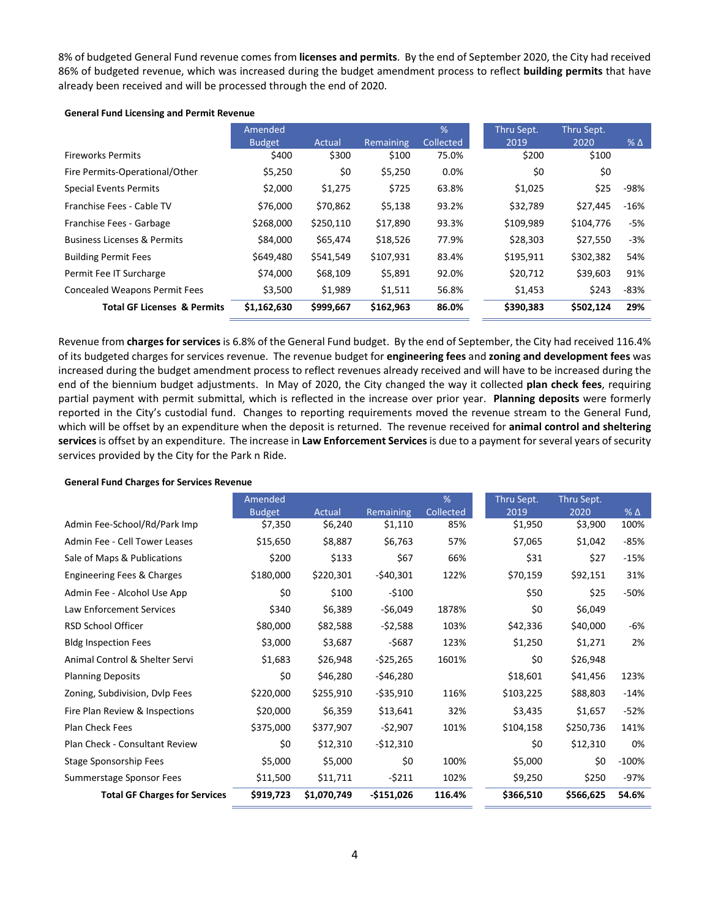8% of budgeted General Fund revenue comes from **licenses and permits**. By the end of September 2020, the City had received 86% of budgeted revenue, which was increased during the budget amendment process to reflect **building permits** that have already been received and will be processed through the end of 2020.

#### **General Fund Licensing and Permit Revenue**

|                                        | Amended<br><b>Budget</b> | Actual    | Remaining | %<br>Collected | Thru Sept.<br>2019 | Thru Sept.<br>2020 | $%$ $\Delta$ |
|----------------------------------------|--------------------------|-----------|-----------|----------------|--------------------|--------------------|--------------|
| <b>Fireworks Permits</b>               | \$400                    | \$300     | \$100     | 75.0%          | \$200              | \$100              |              |
| Fire Permits-Operational/Other         | \$5,250                  | \$0       | \$5,250   | 0.0%           | \$0                | \$0                |              |
| <b>Special Events Permits</b>          | \$2,000                  | \$1,275   | \$725     | 63.8%          | \$1,025            | \$25               | -98%         |
| Franchise Fees - Cable TV              | \$76,000                 | \$70,862  | \$5,138   | 93.2%          | \$32,789           | \$27,445           | $-16%$       |
| Franchise Fees - Garbage               | \$268,000                | \$250,110 | \$17,890  | 93.3%          | \$109,989          | \$104,776          | -5%          |
| <b>Business Licenses &amp; Permits</b> | \$84,000                 | \$65,474  | \$18,526  | 77.9%          | \$28,303           | \$27,550           | $-3%$        |
| <b>Building Permit Fees</b>            | \$649,480                | \$541,549 | \$107,931 | 83.4%          | \$195,911          | \$302,382          | 54%          |
| Permit Fee IT Surcharge                | \$74,000                 | \$68,109  | \$5,891   | 92.0%          | \$20,712           | \$39,603           | 91%          |
| <b>Concealed Weapons Permit Fees</b>   | \$3,500                  | \$1,989   | \$1,511   | 56.8%          | \$1,453            | \$243              | $-83%$       |
| <b>Total GF Licenses &amp; Permits</b> | \$1,162,630              | \$999,667 | \$162,963 | 86.0%          | \$390,383          | \$502,124          | 29%          |

Revenue from **charges for services** is 6.8% of the General Fund budget. By the end of September, the City had received 116.4% of its budgeted charges for services revenue. The revenue budget for **engineering fees** and **zoning and development fees** was increased during the budget amendment process to reflect revenues already received and will have to be increased during the end of the biennium budget adjustments. In May of 2020, the City changed the way it collected **plan check fees**, requiring partial payment with permit submittal, which is reflected in the increase over prior year. **Planning deposits** were formerly reported in the City's custodial fund. Changes to reporting requirements moved the revenue stream to the General Fund, which will be offset by an expenditure when the deposit is returned. The revenue received for **animal control and sheltering services**is offset by an expenditure. The increase in **Law Enforcement Services**is due to a payment for several years of security services provided by the City for the Park n Ride.

#### **General Fund Charges for Services Revenue**

|                                      | Amended       |             |             | %         | Thru Sept. | Thru Sept. |              |
|--------------------------------------|---------------|-------------|-------------|-----------|------------|------------|--------------|
|                                      | <b>Budget</b> | Actual      | Remaining   | Collected | 2019       | 2020       | $%$ $\Delta$ |
| Admin Fee-School/Rd/Park Imp         | \$7,350       | \$6,240     | \$1,110     | 85%       | \$1,950    | \$3,900    | 100%         |
| Admin Fee - Cell Tower Leases        | \$15,650      | \$8,887     | \$6,763     | 57%       | \$7,065    | \$1,042    | -85%         |
| Sale of Maps & Publications          | \$200         | \$133       | \$67        | 66%       | \$31       | \$27       | $-15%$       |
| Engineering Fees & Charges           | \$180,000     | \$220,301   | $-540,301$  | 122%      | \$70,159   | \$92,151   | 31%          |
| Admin Fee - Alcohol Use App          | \$0           | \$100       | $-5100$     |           | \$50       | \$25       | -50%         |
| <b>Law Enforcement Services</b>      | \$340         | \$6,389     | $-$6,049$   | 1878%     | \$0        | \$6,049    |              |
| <b>RSD School Officer</b>            | \$80,000      | \$82,588    | $-52,588$   | 103%      | \$42,336   | \$40,000   | -6%          |
| <b>Bldg Inspection Fees</b>          | \$3,000       | \$3,687     | $-5687$     | 123%      | \$1,250    | \$1,271    | 2%           |
| Animal Control & Shelter Servi       | \$1,683       | \$26,948    | $-525,265$  | 1601%     | \$0        | \$26,948   |              |
| <b>Planning Deposits</b>             | \$0           | \$46,280    | -\$46,280   |           | \$18,601   | \$41,456   | 123%         |
| Zoning, Subdivision, Dvlp Fees       | \$220,000     | \$255,910   | -\$35,910   | 116%      | \$103,225  | \$88,803   | $-14%$       |
| Fire Plan Review & Inspections       | \$20,000      | \$6,359     | \$13,641    | 32%       | \$3,435    | \$1,657    | $-52%$       |
| Plan Check Fees                      | \$375,000     | \$377,907   | $-52,907$   | 101%      | \$104,158  | \$250,736  | 141%         |
| Plan Check - Consultant Review       | \$0           | \$12,310    | $-512,310$  |           | \$0        | \$12,310   | 0%           |
| Stage Sponsorship Fees               | \$5,000       | \$5,000     | \$0         | 100%      | \$5,000    | \$0        | $-100%$      |
| Summerstage Sponsor Fees             | \$11,500      | \$11,711    | -\$211      | 102%      | \$9,250    | \$250      | -97%         |
| <b>Total GF Charges for Services</b> | \$919,723     | \$1,070,749 | $-5151,026$ | 116.4%    | \$366,510  | \$566,625  | 54.6%        |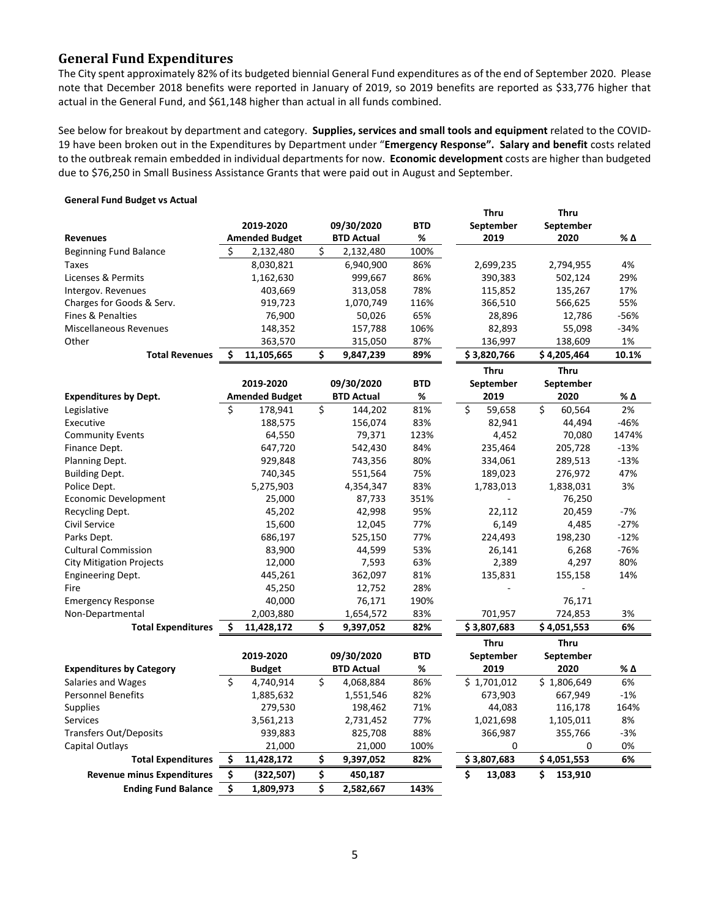# **General Fund Expenditures**

The City spent approximately 82% of its budgeted biennial General Fund expenditures as of the end of September 2020. Please note that December 2018 benefits were reported in January of 2019, so 2019 benefits are reported as \$33,776 higher that actual in the General Fund, and \$61,148 higher than actual in all funds combined.

See below for breakout by department and category. **Supplies, services and small tools and equipment** related to the COVID-19 have been broken out in the Expenditures by Department under "**Emergency Response". Salary and benefit** costs related to the outbreak remain embedded in individual departments for now. **Economic development** costs are higher than budgeted due to \$76,250 in Small Business Assistance Grants that were paid out in August and September.

#### **General Fund Budget vs Actual**

|                                   |    |                       |    |                   |            | <b>Thru</b>  | <b>Thru</b>  |        |
|-----------------------------------|----|-----------------------|----|-------------------|------------|--------------|--------------|--------|
|                                   |    | 2019-2020             |    | 09/30/2020        | <b>BTD</b> | September    | September    |        |
| <b>Revenues</b>                   |    | <b>Amended Budget</b> |    | <b>BTD Actual</b> | %          | 2019         | 2020         | % Δ    |
| <b>Beginning Fund Balance</b>     | Ś  | 2,132,480             | \$ | 2,132,480         | 100%       |              |              |        |
| <b>Taxes</b>                      |    | 8,030,821             |    | 6,940,900         | 86%        | 2,699,235    | 2,794,955    | 4%     |
| Licenses & Permits                |    | 1,162,630             |    | 999,667           | 86%        | 390,383      | 502,124      | 29%    |
| Intergov. Revenues                |    | 403,669               |    | 313,058           | 78%        | 115,852      | 135,267      | 17%    |
| Charges for Goods & Serv.         |    | 919,723               |    | 1,070,749         | 116%       | 366,510      | 566,625      | 55%    |
| Fines & Penalties                 |    | 76,900                |    | 50,026            | 65%        | 28,896       | 12,786       | $-56%$ |
| <b>Miscellaneous Revenues</b>     |    | 148,352               |    | 157,788           | 106%       | 82,893       | 55,098       | $-34%$ |
| Other                             |    | 363,570               |    | 315,050           | 87%        | 136,997      | 138,609      | 1%     |
| <b>Total Revenues</b>             | Ś  | 11,105,665            | Ś  | 9,847,239         | 89%        | \$3,820,766  | \$4,205,464  | 10.1%  |
|                                   |    |                       |    |                   |            | Thru         | <b>Thru</b>  |        |
|                                   |    | 2019-2020             |    | 09/30/2020        | <b>BTD</b> | September    | September    |        |
| <b>Expenditures by Dept.</b>      |    | <b>Amended Budget</b> |    | <b>BTD Actual</b> | %          | 2019         | 2020         | % Δ    |
| Legislative                       | Ś  | 178,941               | \$ | 144,202           | 81%        | \$<br>59,658 | \$<br>60,564 | 2%     |
| Executive                         |    | 188,575               |    | 156,074           | 83%        | 82,941       | 44,494       | $-46%$ |
| <b>Community Events</b>           |    | 64,550                |    | 79,371            | 123%       | 4,452        | 70,080       | 1474%  |
| Finance Dept.                     |    | 647,720               |    | 542,430           | 84%        | 235,464      | 205,728      | $-13%$ |
| Planning Dept.                    |    | 929,848               |    | 743,356           | 80%        | 334,061      | 289,513      | $-13%$ |
| <b>Building Dept.</b>             |    | 740,345               |    | 551,564           | 75%        | 189,023      | 276,972      | 47%    |
| Police Dept.                      |    | 5,275,903             |    | 4,354,347         | 83%        | 1,783,013    | 1,838,031    | 3%     |
| Economic Development              |    | 25,000                |    | 87,733            | 351%       |              | 76,250       |        |
| Recycling Dept.                   |    | 45,202                |    | 42,998            | 95%        | 22,112       | 20,459       | $-7%$  |
| Civil Service                     |    | 15,600                |    | 12,045            | 77%        | 6,149        | 4,485        | $-27%$ |
| Parks Dept.                       |    | 686,197               |    | 525,150           | 77%        | 224,493      | 198,230      | $-12%$ |
| <b>Cultural Commission</b>        |    | 83,900                |    | 44,599            | 53%        | 26,141       | 6,268        | $-76%$ |
| <b>City Mitigation Projects</b>   |    | 12,000                |    | 7,593             | 63%        | 2,389        | 4,297        | 80%    |
| <b>Engineering Dept.</b>          |    | 445,261               |    | 362,097           | 81%        | 135,831      | 155,158      | 14%    |
| Fire                              |    | 45,250                |    | 12,752            | 28%        |              |              |        |
| <b>Emergency Response</b>         |    | 40,000                |    | 76,171            | 190%       |              | 76,171       |        |
| Non-Departmental                  |    | 2,003,880             |    | 1,654,572         | 83%        | 701,957      | 724,853      | 3%     |
| <b>Total Expenditures</b>         | Ś  | 11,428,172            | \$ | 9,397,052         | 82%        | \$3,807,683  | \$4,051,553  | 6%     |
|                                   |    |                       |    |                   |            | Thru         | <b>Thru</b>  |        |
|                                   |    | 2019-2020             |    | 09/30/2020        | <b>BTD</b> | September    | September    |        |
| <b>Expenditures by Category</b>   |    | <b>Budget</b>         |    | <b>BTD Actual</b> | %          | 2019         | 2020         | % Δ    |
| <b>Salaries and Wages</b>         | Ś. | 4,740,914             | \$ | 4,068,884         | 86%        | \$1,701,012  | \$1,806,649  | 6%     |
| <b>Personnel Benefits</b>         |    | 1,885,632             |    | 1,551,546         | 82%        | 673,903      | 667,949      | $-1%$  |
| <b>Supplies</b>                   |    | 279,530               |    | 198,462           | 71%        | 44,083       | 116,178      | 164%   |
| <b>Services</b>                   |    | 3,561,213             |    | 2,731,452         | 77%        | 1,021,698    | 1,105,011    | 8%     |
| <b>Transfers Out/Deposits</b>     |    | 939,883               |    | 825,708           | 88%        | 366,987      | 355,766      | $-3%$  |
| Capital Outlays                   |    | 21,000                |    | 21,000            | 100%       | 0            | 0            | 0%     |
| <b>Total Expenditures</b>         | \$ | 11,428,172            | \$ | 9,397,052         | 82%        | \$3,807,683  | \$4,051,553  | 6%     |
| <b>Revenue minus Expenditures</b> | \$ | (322, 507)            | \$ | 450,187           |            | \$<br>13,083 | Ś<br>153,910 |        |
| <b>Ending Fund Balance</b>        | \$ | 1,809,973             | \$ | 2,582,667         | 143%       |              |              |        |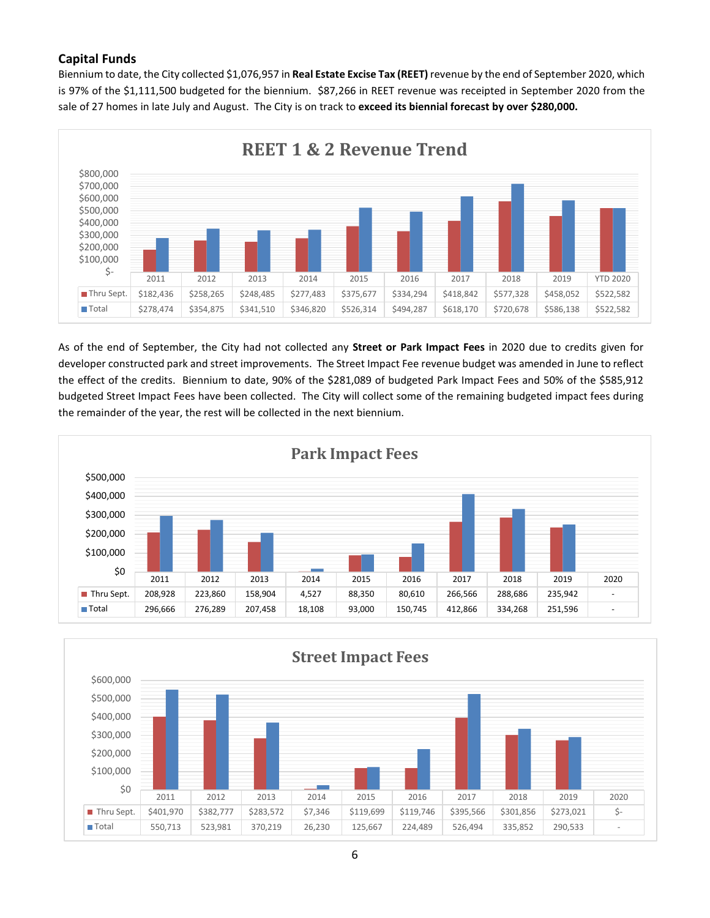# **Capital Funds**

Biennium to date, the City collected \$1,076,957 in **Real Estate Excise Tax (REET)** revenue by the end of September 2020, which is 97% of the \$1,111,500 budgeted for the biennium. \$87,266 in REET revenue was receipted in September 2020 from the sale of 27 homes in late July and August. The City is on track to **exceed its biennial forecast by over \$280,000.**



As of the end of September, the City had not collected any **Street or Park Impact Fees** in 2020 due to credits given for developer constructed park and street improvements. The Street Impact Fee revenue budget was amended in June to reflect the effect of the credits. Biennium to date, 90% of the \$281,089 of budgeted Park Impact Fees and 50% of the \$585,912 budgeted Street Impact Fees have been collected. The City will collect some of the remaining budgeted impact fees during the remainder of the year, the rest will be collected in the next biennium.



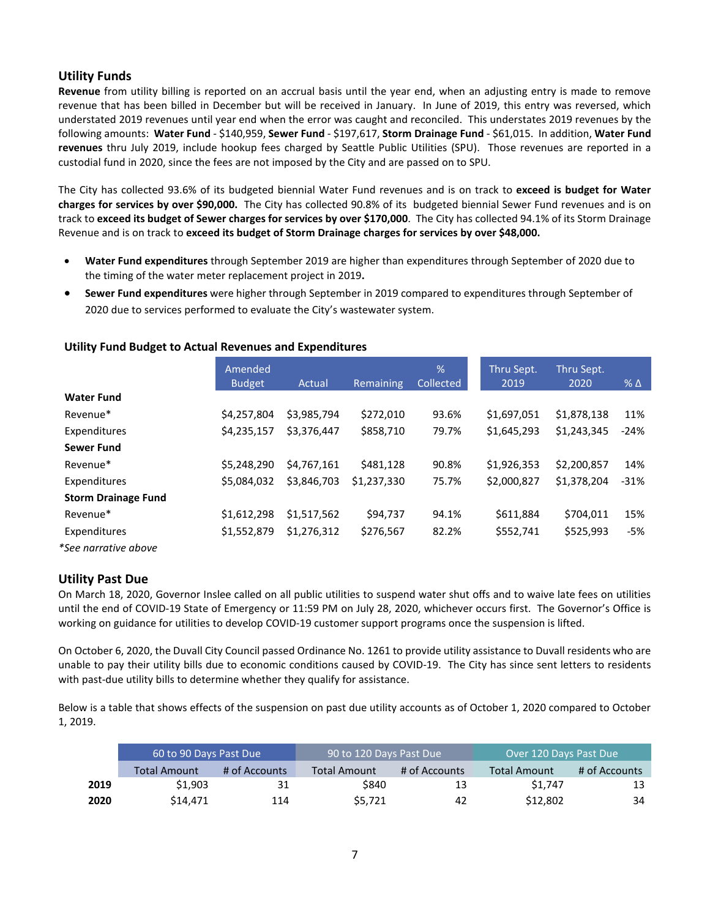# **Utility Funds**

**Revenue** from utility billing is reported on an accrual basis until the year end, when an adjusting entry is made to remove revenue that has been billed in December but will be received in January. In June of 2019, this entry was reversed, which understated 2019 revenues until year end when the error was caught and reconciled. This understates 2019 revenues by the following amounts: **Water Fund** - \$140,959, **Sewer Fund** - \$197,617, **Storm Drainage Fund** - \$61,015. In addition, **Water Fund revenues** thru July 2019, include hookup fees charged by Seattle Public Utilities (SPU). Those revenues are reported in a custodial fund in 2020, since the fees are not imposed by the City and are passed on to SPU.

The City has collected 93.6% of its budgeted biennial Water Fund revenues and is on track to **exceed is budget for Water charges for services by over \$90,000.** The City has collected 90.8% of its budgeted biennial Sewer Fund revenues and is on track to **exceed its budget of Sewer charges for services by over \$170,000**. The City has collected 94.1% of its Storm Drainage Revenue and is on track to **exceed its budget of Storm Drainage charges for services by over \$48,000.**

- **Water Fund expenditures** through September 2019 are higher than expenditures through September of 2020 due to the timing of the water meter replacement project in 2019**.**
- **Sewer Fund expenditures** were higher through September in 2019 compared to expenditures through September of 2020 due to services performed to evaluate the City's wastewater system.

|                            | Amended       |             |             | %         | Thru Sept.  | Thru Sept.  |                 |
|----------------------------|---------------|-------------|-------------|-----------|-------------|-------------|-----------------|
|                            | <b>Budget</b> | Actual      | Remaining   | Collected | 2019        | 2020        | $%$ $\triangle$ |
| <b>Water Fund</b>          |               |             |             |           |             |             |                 |
| Revenue*                   | \$4,257,804   | \$3,985,794 | \$272,010   | 93.6%     | \$1,697,051 | \$1,878,138 | 11%             |
| Expenditures               | \$4,235,157   | \$3,376,447 | \$858,710   | 79.7%     | \$1,645,293 | \$1,243,345 | $-24%$          |
| <b>Sewer Fund</b>          |               |             |             |           |             |             |                 |
| Revenue*                   | \$5,248,290   | \$4.767.161 | \$481,128   | 90.8%     | \$1,926,353 | \$2,200,857 | 14%             |
| Expenditures               | \$5.084.032   | \$3,846,703 | \$1,237,330 | 75.7%     | \$2,000,827 | \$1,378,204 | $-31%$          |
| <b>Storm Drainage Fund</b> |               |             |             |           |             |             |                 |
| Revenue*                   | \$1,612,298   | \$1,517,562 | \$94,737    | 94.1%     | \$611,884   | \$704,011   | 15%             |
| Expenditures               | \$1,552,879   | \$1,276,312 | \$276,567   | 82.2%     | \$552,741   | \$525,993   | $-5%$           |
| *See narrative above       |               |             |             |           |             |             |                 |

### **Utility Fund Budget to Actual Revenues and Expenditures**

### **Utility Past Due**

On March 18, 2020, Governor Inslee called on all public utilities to suspend water shut offs and to waive late fees on utilities until the end of COVID-19 State of Emergency or 11:59 PM on July 28, 2020, whichever occurs first. The Governor's Office is working on guidance for utilities to develop COVID-19 customer support programs once the suspension is lifted.

On October 6, 2020, the Duvall City Council passed Ordinance No. 1261 to provide utility assistance to Duvall residents who are unable to pay their utility bills due to economic conditions caused by COVID-19. The City has since sent letters to residents with past-due utility bills to determine whether they qualify for assistance.

Below is a table that shows effects of the suspension on past due utility accounts as of October 1, 2020 compared to October 1, 2019.

|      | 60 to 90 Days Past Due |               | 90 to 120 Days Past Due |               | Over 120 Days Past Due |               |  |  |  |
|------|------------------------|---------------|-------------------------|---------------|------------------------|---------------|--|--|--|
|      | <b>Total Amount</b>    | # of Accounts | <b>Total Amount</b>     | # of Accounts | <b>Total Amount</b>    | # of Accounts |  |  |  |
| 2019 | \$1,903                | 31            | \$840                   | 13            | \$1.747                | 13            |  |  |  |
| 2020 | \$14.471               | 114           | \$5,721                 | 42            | \$12,802               | 34            |  |  |  |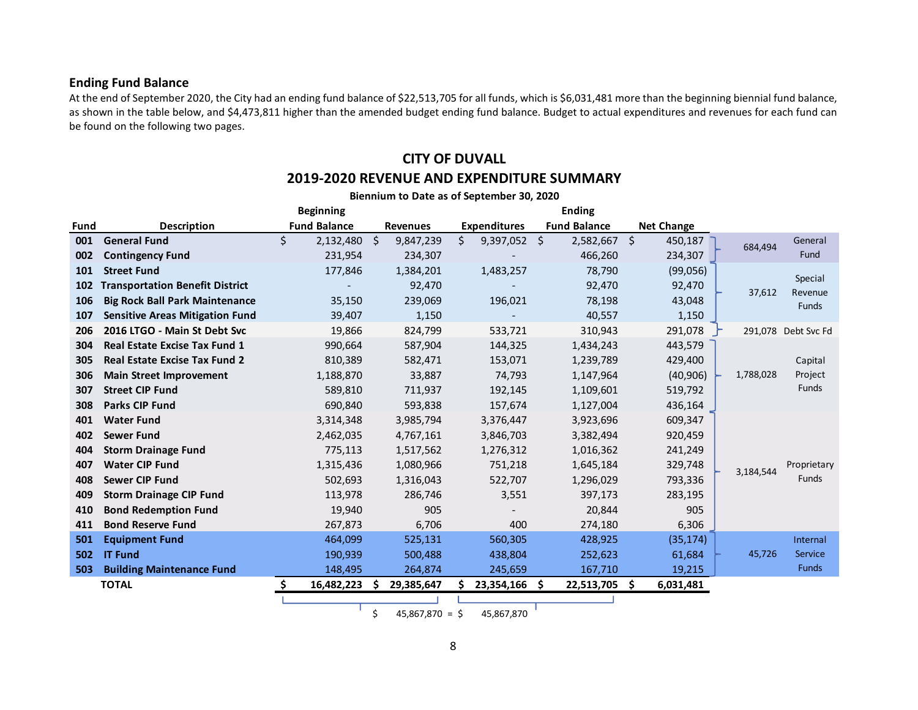## **Ending Fund Balance**

At the end of September 2020, the City had an ending fund balance of \$22,513,705 for all funds, which is \$6,031,481 more than the beginning biennial fund balance, as shown in the table below, and \$4,473,811 higher than the amended budget ending fund balance. Budget to actual expenditures and revenues for each fund can be found on the following two pages.

# **CITY OF DUVALL 2019-2020 REVENUE AND EXPENDITURE SUMMARY**

|      | Biennium to Date as of September 30, 2020 |    |                     |    |                 |    |                     |  |                     |     |                   |  |           |                     |
|------|-------------------------------------------|----|---------------------|----|-----------------|----|---------------------|--|---------------------|-----|-------------------|--|-----------|---------------------|
|      |                                           |    | <b>Beginning</b>    |    |                 |    |                     |  | <b>Ending</b>       |     |                   |  |           |                     |
| Fund | <b>Description</b>                        |    | <b>Fund Balance</b> |    | <b>Revenues</b> |    | <b>Expenditures</b> |  | <b>Fund Balance</b> |     | <b>Net Change</b> |  |           |                     |
| 001  | <b>General Fund</b>                       | \$ | 2,132,480           | Ŝ. | 9,847,239       | \$ | $9,397,052$ \$      |  | $2,582,667$ \$      |     | 450,187           |  | 684,494   | General             |
| 002  | <b>Contingency Fund</b>                   |    | 231,954             |    | 234,307         |    |                     |  | 466,260             |     | 234,307           |  |           | Fund                |
| 101  | <b>Street Fund</b>                        |    | 177,846             |    | 1,384,201       |    | 1,483,257           |  | 78,790              |     | (99,056)          |  |           | Special             |
| 102  | <b>Transportation Benefit District</b>    |    |                     |    | 92,470          |    |                     |  | 92,470              |     | 92,470            |  | 37,612    | Revenue             |
| 106  | <b>Big Rock Ball Park Maintenance</b>     |    | 35,150              |    | 239,069         |    | 196,021             |  | 78,198              |     | 43,048            |  |           | <b>Funds</b>        |
| 107  | <b>Sensitive Areas Mitigation Fund</b>    |    | 39,407              |    | 1,150           |    |                     |  | 40,557              |     | 1,150             |  |           |                     |
| 206  | 2016 LTGO - Main St Debt Svc              |    | 19,866              |    | 824,799         |    | 533,721             |  | 310,943             |     | 291,078           |  |           | 291,078 Debt Svc Fd |
| 304  | <b>Real Estate Excise Tax Fund 1</b>      |    | 990,664             |    | 587,904         |    | 144,325             |  | 1,434,243           |     | 443,579           |  |           |                     |
| 305  | <b>Real Estate Excise Tax Fund 2</b>      |    | 810,389             |    | 582,471         |    | 153,071             |  | 1,239,789           |     | 429,400           |  |           | Capital             |
| 306  | <b>Main Street Improvement</b>            |    | 1,188,870           |    | 33,887          |    | 74,793              |  | 1,147,964           |     | (40, 906)         |  | 1,788,028 | Project             |
| 307  | <b>Street CIP Fund</b>                    |    | 589,810             |    | 711,937         |    | 192,145             |  | 1,109,601           |     | 519,792           |  |           | Funds               |
| 308  | <b>Parks CIP Fund</b>                     |    | 690,840             |    | 593,838         |    | 157,674             |  | 1,127,004           |     | 436,164           |  |           |                     |
| 401  | <b>Water Fund</b>                         |    | 3,314,348           |    | 3,985,794       |    | 3,376,447           |  | 3,923,696           |     | 609,347           |  |           |                     |
| 402  | <b>Sewer Fund</b>                         |    | 2,462,035           |    | 4,767,161       |    | 3,846,703           |  | 3,382,494           |     | 920,459           |  |           |                     |
| 404  | <b>Storm Drainage Fund</b>                |    | 775,113             |    | 1,517,562       |    | 1,276,312           |  | 1,016,362           |     | 241,249           |  |           |                     |
| 407  | <b>Water CIP Fund</b>                     |    | 1,315,436           |    | 1,080,966       |    | 751,218             |  | 1,645,184           |     | 329,748           |  | 3,184,544 | Proprietary         |
| 408  | <b>Sewer CIP Fund</b>                     |    | 502,693             |    | 1,316,043       |    | 522,707             |  | 1,296,029           |     | 793,336           |  |           | <b>Funds</b>        |
| 409  | <b>Storm Drainage CIP Fund</b>            |    | 113,978             |    | 286,746         |    | 3,551               |  | 397,173             |     | 283,195           |  |           |                     |
| 410  | <b>Bond Redemption Fund</b>               |    | 19,940              |    | 905             |    |                     |  | 20,844              |     | 905               |  |           |                     |
| 411  | <b>Bond Reserve Fund</b>                  |    | 267,873             |    | 6,706           |    | 400                 |  | 274,180             |     | 6,306             |  |           |                     |
| 501  | <b>Equipment Fund</b>                     |    | 464,099             |    | 525,131         |    | 560,305             |  | 428,925             |     | (35, 174)         |  |           | Internal            |
| 502  | <b>IT Fund</b>                            |    | 190,939             |    | 500,488         |    | 438,804             |  | 252,623             |     | 61,684            |  | 45,726    | Service             |
| 503  | <b>Building Maintenance Fund</b>          |    | 148,495             |    | 264,874         |    | 245,659             |  | 167,710             |     | 19,215            |  |           | <b>Funds</b>        |
|      | <b>TOTAL</b>                              | S  | 16,482,223          |    | 29,385,647      |    | 23,354,166 \$       |  | 22,513,705          | - Ś | 6,031,481         |  |           |                     |
|      |                                           |    |                     |    |                 |    |                     |  |                     |     |                   |  |           |                     |

 $$ 45,867,870 = $ 45,867,870$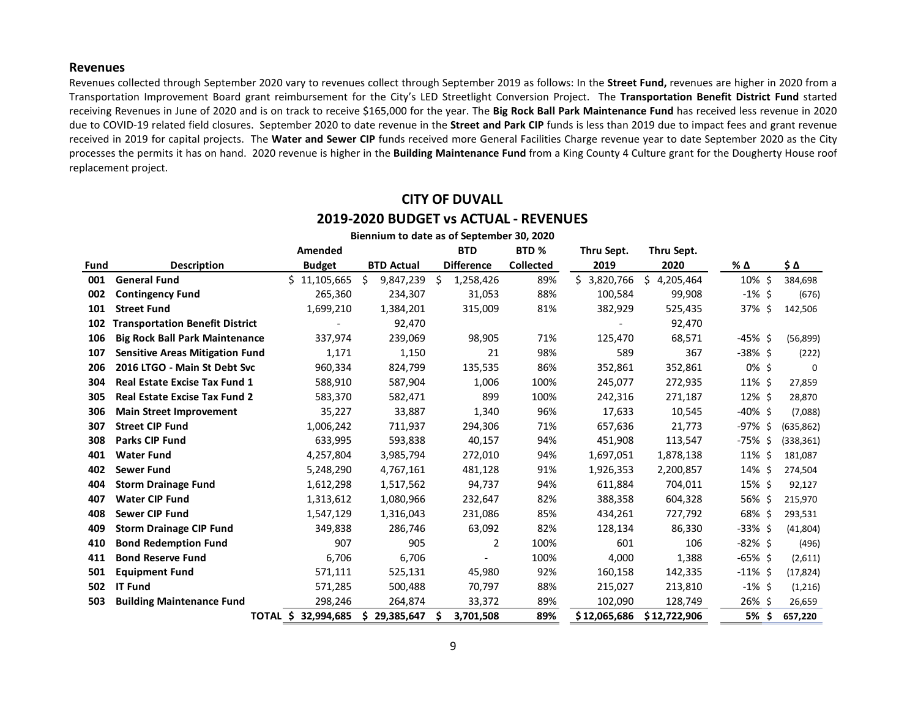#### **Revenues**

Revenues collected through September 2020 vary to revenues collect through September 2019 as follows: In the **Street Fund,** revenues are higher in 2020 from a Transportation Improvement Board grant reimbursement for the City's LED Streetlight Conversion Project. The **Transportation Benefit District Fund** started receiving Revenues in June of 2020 and is on track to receive \$165,000 for the year. The **Big Rock Ball Park Maintenance Fund** has received less revenue in 2020 due to COVID-19 related field closures. September 2020 to date revenue in the **Street and Park CIP** funds is less than 2019 due to impact fees and grant revenue received in 2019 for capital projects. The **Water and Sewer CIP** funds received more General Facilities Charge revenue year to date September 2020 as the City processes the permits it has on hand. 2020 revenue is higher in the **Building Maintenance Fund** from a King County 4 Culture grant for the Dougherty House roof replacement project.

> **CITY OF DUVALL 2019-2020 BUDGET vs ACTUAL - REVENUES**

|             |                                        |                     | Biennium to date as of September 30, 2020 |                   |                  |                 |                 |            |                |
|-------------|----------------------------------------|---------------------|-------------------------------------------|-------------------|------------------|-----------------|-----------------|------------|----------------|
|             |                                        | Amended             |                                           | <b>BTD</b>        | BTD <sub>%</sub> | Thru Sept.      | Thru Sept.      |            |                |
| <b>Fund</b> | <b>Description</b>                     | <b>Budget</b>       | <b>BTD Actual</b>                         | <b>Difference</b> | <b>Collected</b> | 2019            | 2020            | % Δ        | \$Δ            |
| 001         | <b>General Fund</b>                    | \$11,105,665        | Ŝ.<br>9,847,239                           | 1,258,426<br>S    | 89%              | Ś.<br>3,820,766 | 4,205,464<br>Ŝ. | 10% \$     | 384,698        |
| 002         | <b>Contingency Fund</b>                | 265,360             | 234,307                                   | 31,053            | 88%              | 100,584         | 99,908          | $-1\%$ \$  | (676)          |
| 101         | <b>Street Fund</b>                     | 1,699,210           | 1,384,201                                 | 315,009           | 81%              | 382,929         | 525,435         | 37% \$     | 142,506        |
| 102         | <b>Transportation Benefit District</b> |                     | 92,470                                    |                   |                  |                 | 92,470          |            |                |
| 106         | <b>Big Rock Ball Park Maintenance</b>  | 337,974             | 239,069                                   | 98,905            | 71%              | 125,470         | 68,571          | $-45\%$ \$ | (56, 899)      |
| 107         | <b>Sensitive Areas Mitigation Fund</b> | 1,171               | 1,150                                     | 21                | 98%              | 589             | 367             | $-38\%$ \$ | (222)          |
| 206         | 2016 LTGO - Main St Debt Svc           | 960,334             | 824,799                                   | 135,535           | 86%              | 352,861         | 352,861         | $0\%$ \$   | $\Omega$       |
| 304         | <b>Real Estate Excise Tax Fund 1</b>   | 588,910             | 587,904                                   | 1,006             | 100%             | 245,077         | 272,935         | $11\%$ \$  | 27,859         |
| 305         | <b>Real Estate Excise Tax Fund 2</b>   | 583,370             | 582,471                                   | 899               | 100%             | 242,316         | 271,187         | $12\%$ \$  | 28,870         |
| 306         | <b>Main Street Improvement</b>         | 35,227              | 33,887                                    | 1,340             | 96%              | 17,633          | 10,545          | $-40\%$ \$ | (7,088)        |
| 307         | <b>Street CIP Fund</b>                 | 1,006,242           | 711,937                                   | 294,306           | 71%              | 657,636         | 21,773          | -97% \$    | (635, 862)     |
| 308         | <b>Parks CIP Fund</b>                  | 633,995             | 593,838                                   | 40,157            | 94%              | 451,908         | 113,547         | $-75\%$ \$ | (338, 361)     |
| 401         | <b>Water Fund</b>                      | 4,257,804           | 3,985,794                                 | 272,010           | 94%              | 1,697,051       | 1,878,138       | $11\%$ \$  | 181,087        |
| 402         | <b>Sewer Fund</b>                      | 5,248,290           | 4,767,161                                 | 481,128           | 91%              | 1,926,353       | 2,200,857       | 14% \$     | 274,504        |
| 404         | <b>Storm Drainage Fund</b>             | 1,612,298           | 1,517,562                                 | 94,737            | 94%              | 611,884         | 704,011         | 15% \$     | 92,127         |
| 407         | <b>Water CIP Fund</b>                  | 1,313,612           | 1,080,966                                 | 232,647           | 82%              | 388,358         | 604,328         | 56% \$     | 215,970        |
| 408         | <b>Sewer CIP Fund</b>                  | 1,547,129           | 1,316,043                                 | 231,086           | 85%              | 434,261         | 727,792         | 68% \$     | 293,531        |
| 409         | <b>Storm Drainage CIP Fund</b>         | 349,838             | 286,746                                   | 63,092            | 82%              | 128,134         | 86,330          | $-33\%$ \$ | (41,804)       |
| 410         | <b>Bond Redemption Fund</b>            | 907                 | 905                                       | 2                 | 100%             | 601             | 106             | $-82\%$ \$ | (496)          |
| 411         | <b>Bond Reserve Fund</b>               | 6,706               | 6,706                                     |                   | 100%             | 4,000           | 1,388           | $-65\%$ \$ | (2,611)        |
| 501         | <b>Equipment Fund</b>                  | 571,111             | 525,131                                   | 45,980            | 92%              | 160,158         | 142,335         | $-11\%$ \$ | (17, 824)      |
| 502         | <b>IT Fund</b>                         | 571,285             | 500,488                                   | 70,797            | 88%              | 215,027         | 213,810         | $-1\%$ \$  | (1,216)        |
| 503         | <b>Building Maintenance Fund</b>       | 298,246             | 264,874                                   | 33,372            | 89%              | 102,090         | 128,749         | 26% \$     | 26,659         |
|             |                                        | TOTAL \$ 32,994,685 | \$<br>29,385,647                          | 3,701,508<br>S    | 89%              | \$12,065,686    | \$12,722,906    | 5%         | \$.<br>657,220 |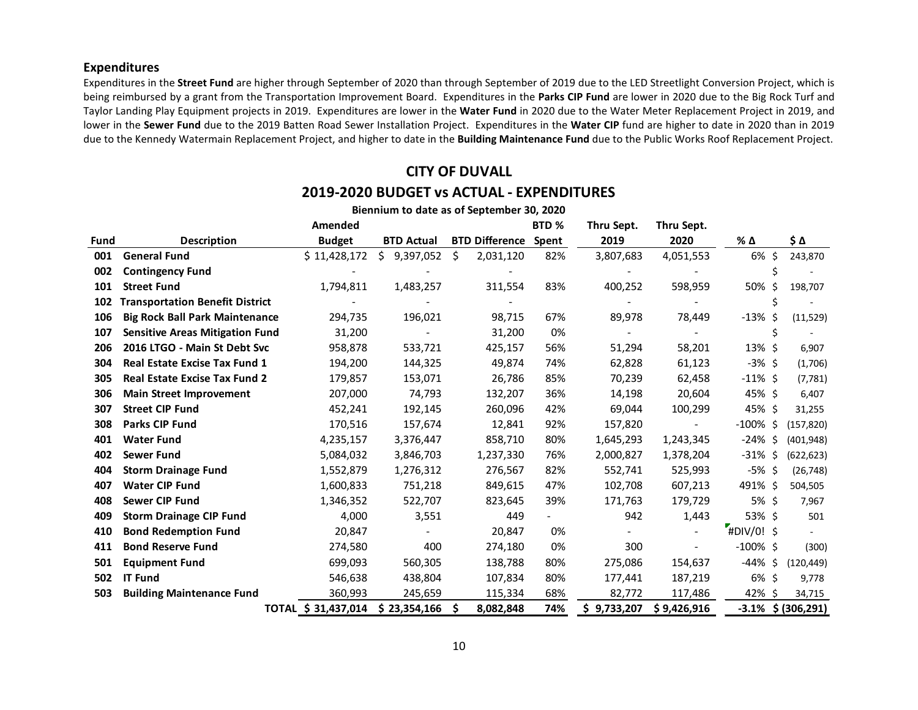### **Expenditures**

Expenditures in the **Street Fund** are higher through September of 2020 than through September of 2019 due to the LED Streetlight Conversion Project, which is being reimbursed by a grant from the Transportation Improvement Board. Expenditures in the **Parks CIP Fund** are lower in 2020 due to the Big Rock Turf and Taylor Landing Play Equipment projects in 2019. Expenditures are lower in the **Water Fund** in 2020 due to the Water Meter Replacement Project in 2019, and lower in the **Sewer Fund** due to the 2019 Batten Road Sewer Installation Project. Expenditures in the **Water CIP** fund are higher to date in 2020 than in 2019 due to the Kennedy Watermain Replacement Project, and higher to date in the **Building Maintenance Fund** due to the Public Works Roof Replacement Project.

# **CITY OF DUVALL 2019-2020 BUDGET vs ACTUAL - EXPENDITURES**

|             |                                        | Amended             |                   |                       | BTD <sub>%</sub> | Thru Sept.               | Thru Sept.     |             |               |
|-------------|----------------------------------------|---------------------|-------------------|-----------------------|------------------|--------------------------|----------------|-------------|---------------|
| <b>Fund</b> | <b>Description</b>                     | <b>Budget</b>       | <b>BTD Actual</b> | <b>BTD Difference</b> | Spent            | 2019                     | 2020           | % Δ         | \$Δ           |
| 001         | <b>General Fund</b>                    | \$11,428,172        | Ś.<br>9,397,052   | Ŝ.<br>2,031,120       | 82%              | 3,807,683                | 4,051,553      | 6% \$       | 243,870       |
| 002         | <b>Contingency Fund</b>                |                     |                   |                       |                  |                          |                |             |               |
| 101         | <b>Street Fund</b>                     | 1,794,811           | 1,483,257         | 311,554               | 83%              | 400,252                  | 598,959        | 50% \$      | 198,707       |
| 102         | <b>Transportation Benefit District</b> |                     |                   |                       |                  |                          |                |             | Ś             |
| 106         | <b>Big Rock Ball Park Maintenance</b>  | 294,735             | 196,021           | 98,715                | 67%              | 89,978                   | 78,449         | $-13\%$ \$  | (11,529)      |
| 107         | <b>Sensitive Areas Mitigation Fund</b> | 31,200              |                   | 31,200                | 0%               | $\overline{\phantom{0}}$ |                | Ś           |               |
| 206         | 2016 LTGO - Main St Debt Svc           | 958,878             | 533,721           | 425,157               | 56%              | 51,294                   | 58,201         | $13\%$ \$   | 6,907         |
| 304         | <b>Real Estate Excise Tax Fund 1</b>   | 194,200             | 144,325           | 49,874                | 74%              | 62,828                   | 61,123         | $-3\%$ \$   | (1,706)       |
| 305         | <b>Real Estate Excise Tax Fund 2</b>   | 179,857             | 153,071           | 26,786                | 85%              | 70,239                   | 62,458         | $-11\%$ \$  | (7, 781)      |
| 306         | <b>Main Street Improvement</b>         | 207,000             | 74,793            | 132,207               | 36%              | 14,198                   | 20,604         | 45% \$      | 6,407         |
| 307         | <b>Street CIP Fund</b>                 | 452,241             | 192,145           | 260,096               | 42%              | 69,044                   | 100,299        | 45% \$      | 31,255        |
| 308         | Parks CIP Fund                         | 170,516             | 157,674           | 12,841                | 92%              | 157,820                  |                | $-100\%$ \$ | (157, 820)    |
| 401         | <b>Water Fund</b>                      | 4,235,157           | 3,376,447         | 858,710               | 80%              | 1,645,293                | 1,243,345      | -24% \$     | (401, 948)    |
| 402         | <b>Sewer Fund</b>                      | 5,084,032           | 3,846,703         | 1,237,330             | 76%              | 2,000,827                | 1,378,204      | $-31\%$ \$  | (622, 623)    |
| 404         | <b>Storm Drainage Fund</b>             | 1,552,879           | 1,276,312         | 276,567               | 82%              | 552,741                  | 525,993        | $-5\%$ \$   | (26, 748)     |
| 407         | <b>Water CIP Fund</b>                  | 1,600,833           | 751,218           | 849,615               | 47%              | 102,708                  | 607,213        | 491%\$      | 504,505       |
| 408         | <b>Sewer CIP Fund</b>                  | 1,346,352           | 522,707           | 823,645               | 39%              | 171,763                  | 179,729        | 5%\$        | 7,967         |
| 409         | <b>Storm Drainage CIP Fund</b>         | 4,000               | 3,551             | 449                   |                  | 942                      | 1,443          | 53% \$      | 501           |
| 410         | <b>Bond Redemption Fund</b>            | 20,847              |                   | 20,847                | 0%               |                          |                | #DIV/0! \$  |               |
| 411         | <b>Bond Reserve Fund</b>               | 274,580             | 400               | 274,180               | 0%               | 300                      | $\blacksquare$ | $-100\%$ \$ | (300)         |
| 501         | <b>Equipment Fund</b>                  | 699,093             | 560,305           | 138,788               | 80%              | 275,086                  | 154,637        | $-44\%$ \$  | (120, 449)    |
| 502         | <b>IT Fund</b>                         | 546,638             | 438,804           | 107,834               | 80%              | 177,441                  | 187,219        | $6\%$ \$    | 9,778         |
| 503         | <b>Building Maintenance Fund</b>       | 360,993             | 245,659           | 115,334               | 68%              | 82,772                   | 117,486        | 42% \$      | 34,715        |
|             |                                        | TOTAL \$ 31,437,014 | \$23,354,166      | 8,082,848<br>S        | 74%              | \$9,733,207              | \$9,426,916    | $-3.1%$     | \$ (306, 291) |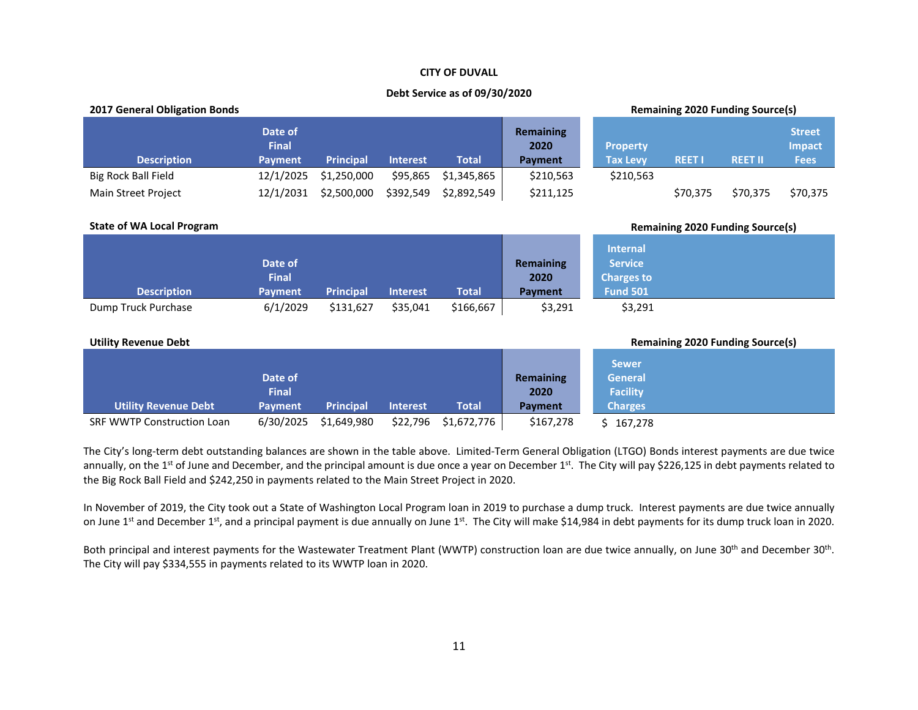#### **CITY OF DUVALL**

#### **Debt Service as of 09/30/2020**

| <b>2017 General Obligation Bonds</b> |                                           |                  |                 |              |                                     |                                                                           |                                         | <b>Remaining 2020 Funding Source(s)</b> |                                               |
|--------------------------------------|-------------------------------------------|------------------|-----------------|--------------|-------------------------------------|---------------------------------------------------------------------------|-----------------------------------------|-----------------------------------------|-----------------------------------------------|
| <b>Description</b>                   | Date of<br><b>Final</b><br><b>Payment</b> | <b>Principal</b> | <b>Interest</b> | <b>Total</b> | <b>Remaining</b><br>2020<br>Payment | <b>Property</b><br><b>Tax Levy</b>                                        | <b>REET I</b>                           | <b>REET II</b>                          | <b>Street</b><br><b>Impact</b><br><b>Fees</b> |
| <b>Big Rock Ball Field</b>           | 12/1/2025                                 | \$1,250,000      | \$95,865        | \$1,345,865  | \$210,563                           | \$210,563                                                                 |                                         |                                         |                                               |
| Main Street Project                  | 12/1/2031                                 | \$2,500,000      | \$392,549       | \$2,892,549  | \$211,125                           |                                                                           | \$70,375                                | \$70,375                                | \$70,375                                      |
| <b>State of WA Local Program</b>     |                                           |                  |                 |              |                                     |                                                                           | <b>Remaining 2020 Funding Source(s)</b> |                                         |                                               |
| <b>Description</b>                   | Date of<br><b>Final</b><br><b>Payment</b> | <b>Principal</b> | <b>Interest</b> | <b>Total</b> | <b>Remaining</b><br>2020<br>Payment | <b>Internal</b><br><b>Service</b><br><b>Charges to</b><br><b>Fund 501</b> |                                         |                                         |                                               |
| Dump Truck Purchase                  | 6/1/2029                                  | \$131,627        | \$35,041        | \$166,667    | \$3,291                             | \$3,291                                                                   |                                         |                                         |                                               |
| <b>Utility Revenue Debt</b>          |                                           |                  |                 |              |                                     | <b>Remaining 2020 Funding Source(s)</b><br><b>Sewer</b>                   |                                         |                                         |                                               |
|                                      | Date of                                   |                  |                 |              | <b>Remaining</b>                    | <b>General</b>                                                            |                                         |                                         |                                               |
|                                      | <b>Final</b>                              |                  |                 |              | 2020                                | <b>Facility</b>                                                           |                                         |                                         |                                               |
| <b>Utility Revenue Debt</b>          | <b>Payment</b>                            | <b>Principal</b> | <b>Interest</b> | <b>Total</b> | Payment                             | <b>Charges</b>                                                            |                                         |                                         |                                               |
| <b>SRF WWTP Construction Loan</b>    | 6/30/2025                                 | \$1,649,980      | \$22,796        | \$1,672,776  | \$167,278                           | \$167,278                                                                 |                                         |                                         |                                               |

The City's long-term debt outstanding balances are shown in the table above. Limited-Term General Obligation (LTGO) Bonds interest payments are due twice annually, on the 1<sup>st</sup> of June and December, and the principal amount is due once a year on December 1<sup>st</sup>. The City will pay \$226,125 in debt payments related to the Big Rock Ball Field and \$242,250 in payments related to the Main Street Project in 2020.

In November of 2019, the City took out a State of Washington Local Program loan in 2019 to purchase a dump truck. Interest payments are due twice annually on June 1<sup>st</sup> and December 1<sup>st</sup>, and a principal payment is due annually on June 1<sup>st</sup>. The City will make \$14,984 in debt payments for its dump truck loan in 2020.

Both principal and interest payments for the Wastewater Treatment Plant (WWTP) construction loan are due twice annually, on June 30<sup>th</sup> and December 30<sup>th</sup>. The City will pay \$334,555 in payments related to its WWTP loan in 2020.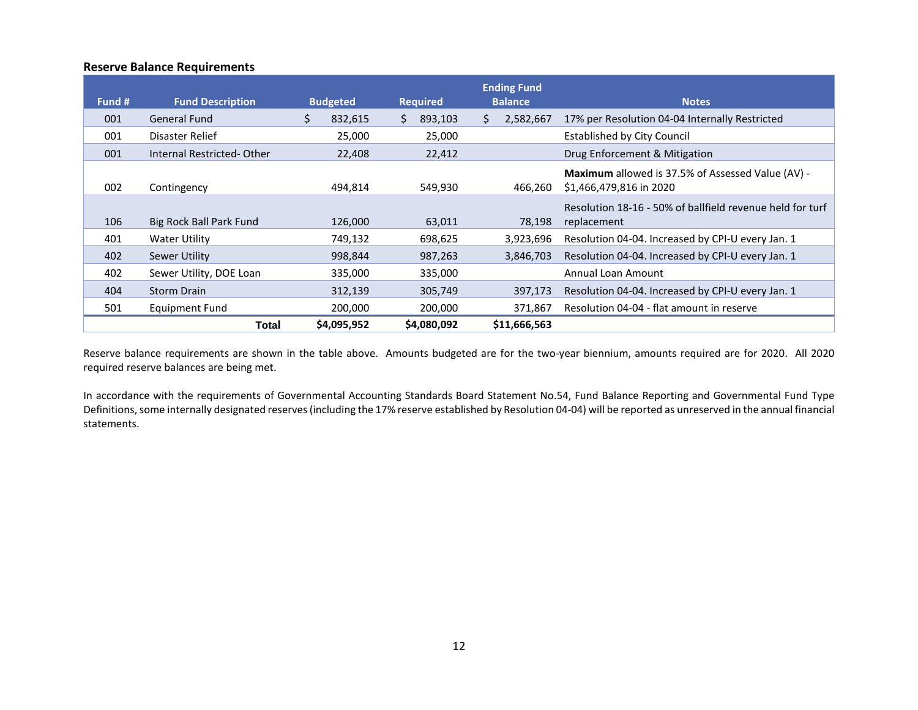### **Reserve Balance Requirements**

| Fund # | <b>Fund Description</b>   | <b>Budgeted</b> | <b>Required</b> | <b>Ending Fund</b><br><b>Balance</b> | <b>Notes</b>                                                                 |
|--------|---------------------------|-----------------|-----------------|--------------------------------------|------------------------------------------------------------------------------|
| 001    | General Fund              | Ś.<br>832,615   | 893,103<br>S.   | 2,582,667<br>S.                      | 17% per Resolution 04-04 Internally Restricted                               |
| 001    | Disaster Relief           | 25,000          | 25,000          |                                      | <b>Established by City Council</b>                                           |
| 001    | Internal Restricted-Other | 22,408          | 22,412          |                                      | Drug Enforcement & Mitigation                                                |
| 002    | Contingency               | 494,814         | 549,930         | 466,260                              | Maximum allowed is 37.5% of Assessed Value (AV) -<br>\$1,466,479,816 in 2020 |
| 106    | Big Rock Ball Park Fund   | 126,000         | 63,011          | 78,198                               | Resolution 18-16 - 50% of ballfield revenue held for turf<br>replacement     |
| 401    | Water Utility             | 749,132         | 698,625         | 3,923,696                            | Resolution 04-04. Increased by CPI-U every Jan. 1                            |
| 402    | Sewer Utility             | 998,844         | 987,263         | 3,846,703                            | Resolution 04-04. Increased by CPI-U every Jan. 1                            |
| 402    | Sewer Utility, DOE Loan   | 335,000         | 335,000         |                                      | Annual Loan Amount                                                           |
| 404    | <b>Storm Drain</b>        | 312,139         | 305,749         | 397,173                              | Resolution 04-04. Increased by CPI-U every Jan. 1                            |
| 501    | Equipment Fund            | 200,000         | 200,000         | 371,867                              | Resolution 04-04 - flat amount in reserve                                    |
|        | Total                     | \$4,095,952     | \$4,080,092     | \$11,666,563                         |                                                                              |

Reserve balance requirements are shown in the table above. Amounts budgeted are for the two-year biennium, amounts required are for 2020. All 2020 required reserve balances are being met.

In accordance with the requirements of Governmental Accounting Standards Board Statement No.54, Fund Balance Reporting and Governmental Fund Type Definitions, some internally designated reserves (including the 17% reserve established by Resolution 04-04) will be reported as unreserved in the annual financial statements.